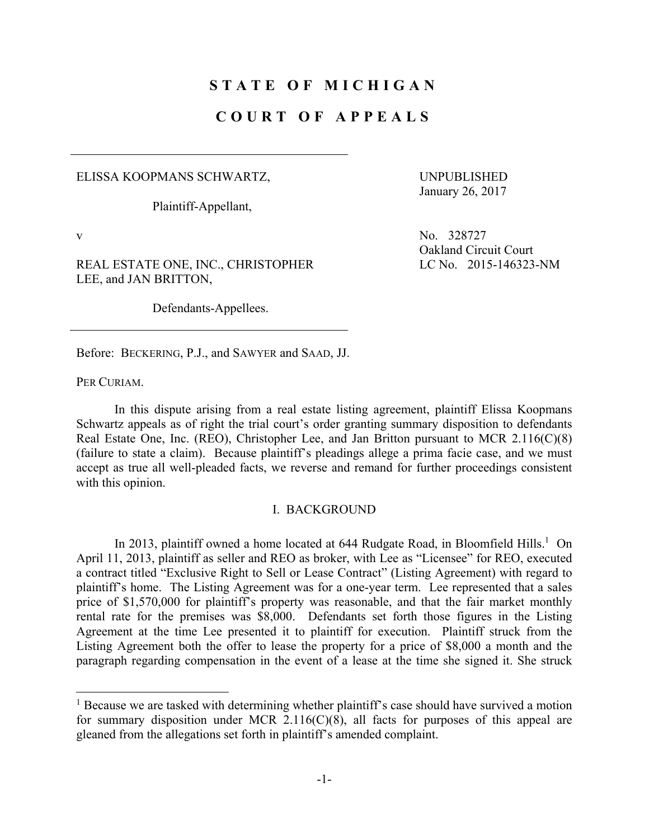# **STATE OF MICHIGAN**

## **COURT OF APPEALS**

ELISSA KOOPMANS SCHWARTZ,

Plaintiff-Appellant,

UNPUBLISHED January 26, 2017

 $\overline{a}$ 

REAL ESTATE ONE, INC., CHRISTOPHER LEE, and JAN BRITTON,

Defendants-Appellees.

v No. 328727 Oakland Circuit Court LC No. 2015-146323-NM

Before: BECKERING, P.J., and SAWYER and SAAD, JJ.

PER CURIAM.

 In this dispute arising from a real estate listing agreement, plaintiff Elissa Koopmans Schwartz appeals as of right the trial court's order granting summary disposition to defendants Real Estate One, Inc. (REO), Christopher Lee, and Jan Britton pursuant to MCR 2.116(C)(8) (failure to state a claim). Because plaintiff's pleadings allege a prima facie case, and we must accept as true all well-pleaded facts, we reverse and remand for further proceedings consistent with this opinion.

#### I. BACKGROUND

In 2013, plaintiff owned a home located at  $644$  Rudgate Road, in Bloomfield Hills.<sup>1</sup> On April 11, 2013, plaintiff as seller and REO as broker, with Lee as "Licensee" for REO, executed a contract titled "Exclusive Right to Sell or Lease Contract" (Listing Agreement) with regard to plaintiff's home. The Listing Agreement was for a one-year term. Lee represented that a sales price of \$1,570,000 for plaintiff's property was reasonable, and that the fair market monthly rental rate for the premises was \$8,000. Defendants set forth those figures in the Listing Agreement at the time Lee presented it to plaintiff for execution. Plaintiff struck from the Listing Agreement both the offer to lease the property for a price of \$8,000 a month and the paragraph regarding compensation in the event of a lease at the time she signed it. She struck

<sup>&</sup>lt;sup>1</sup> Because we are tasked with determining whether plaintiff's case should have survived a motion for summary disposition under MCR  $2.116(C)(8)$ , all facts for purposes of this appeal are gleaned from the allegations set forth in plaintiff's amended complaint.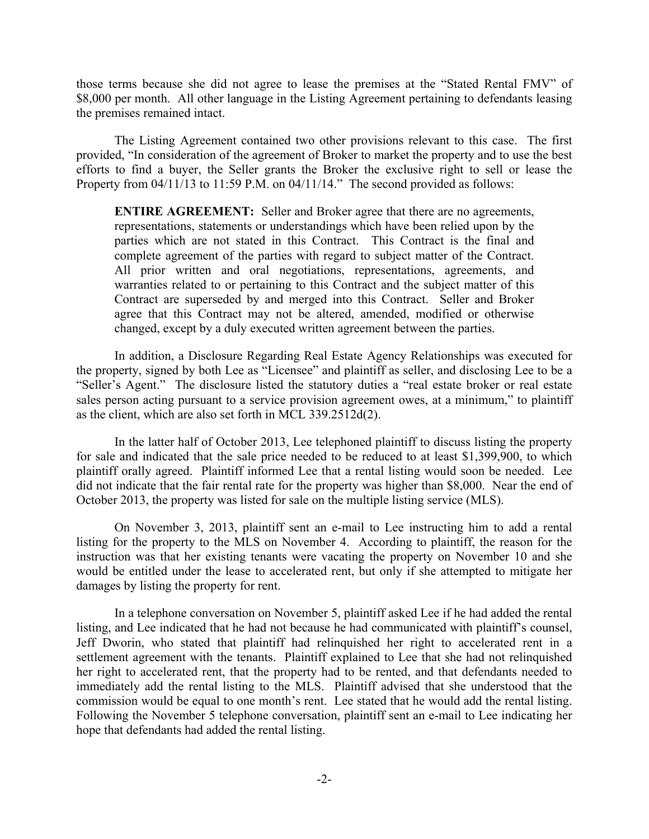those terms because she did not agree to lease the premises at the "Stated Rental FMV" of \$8,000 per month. All other language in the Listing Agreement pertaining to defendants leasing the premises remained intact.

 The Listing Agreement contained two other provisions relevant to this case. The first provided, "In consideration of the agreement of Broker to market the property and to use the best efforts to find a buyer, the Seller grants the Broker the exclusive right to sell or lease the Property from 04/11/13 to 11:59 P.M. on 04/11/14." The second provided as follows:

**ENTIRE AGREEMENT:** Seller and Broker agree that there are no agreements, representations, statements or understandings which have been relied upon by the parties which are not stated in this Contract. This Contract is the final and complete agreement of the parties with regard to subject matter of the Contract. All prior written and oral negotiations, representations, agreements, and warranties related to or pertaining to this Contract and the subject matter of this Contract are superseded by and merged into this Contract. Seller and Broker agree that this Contract may not be altered, amended, modified or otherwise changed, except by a duly executed written agreement between the parties.

 In addition, a Disclosure Regarding Real Estate Agency Relationships was executed for the property, signed by both Lee as "Licensee" and plaintiff as seller, and disclosing Lee to be a "Seller's Agent." The disclosure listed the statutory duties a "real estate broker or real estate sales person acting pursuant to a service provision agreement owes, at a minimum," to plaintiff as the client, which are also set forth in MCL 339.2512d(2).

 In the latter half of October 2013, Lee telephoned plaintiff to discuss listing the property for sale and indicated that the sale price needed to be reduced to at least \$1,399,900, to which plaintiff orally agreed. Plaintiff informed Lee that a rental listing would soon be needed. Lee did not indicate that the fair rental rate for the property was higher than \$8,000. Near the end of October 2013, the property was listed for sale on the multiple listing service (MLS).

 On November 3, 2013, plaintiff sent an e-mail to Lee instructing him to add a rental listing for the property to the MLS on November 4. According to plaintiff, the reason for the instruction was that her existing tenants were vacating the property on November 10 and she would be entitled under the lease to accelerated rent, but only if she attempted to mitigate her damages by listing the property for rent.

 In a telephone conversation on November 5, plaintiff asked Lee if he had added the rental listing, and Lee indicated that he had not because he had communicated with plaintiff's counsel, Jeff Dworin, who stated that plaintiff had relinquished her right to accelerated rent in a settlement agreement with the tenants. Plaintiff explained to Lee that she had not relinquished her right to accelerated rent, that the property had to be rented, and that defendants needed to immediately add the rental listing to the MLS. Plaintiff advised that she understood that the commission would be equal to one month's rent. Lee stated that he would add the rental listing. Following the November 5 telephone conversation, plaintiff sent an e-mail to Lee indicating her hope that defendants had added the rental listing.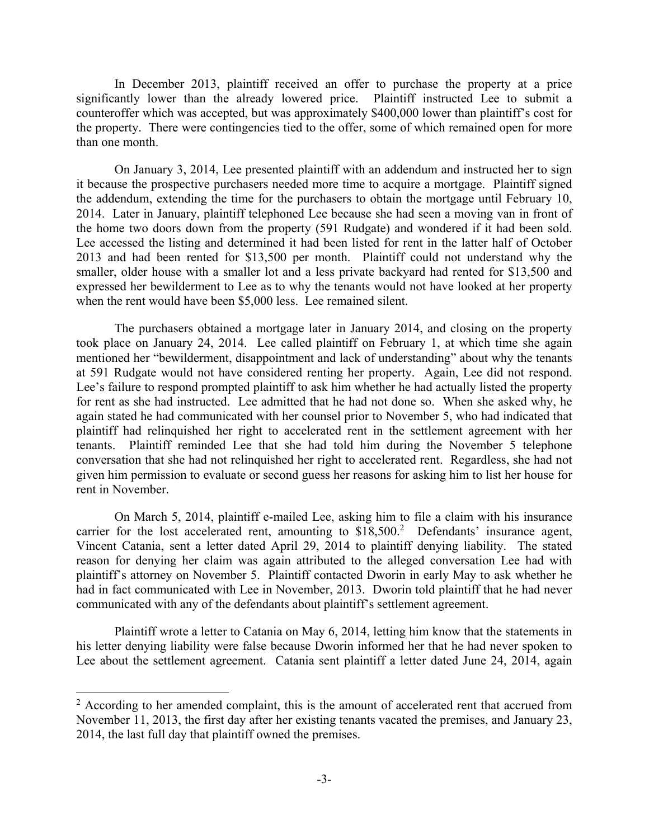In December 2013, plaintiff received an offer to purchase the property at a price significantly lower than the already lowered price. Plaintiff instructed Lee to submit a counteroffer which was accepted, but was approximately \$400,000 lower than plaintiff's cost for the property. There were contingencies tied to the offer, some of which remained open for more than one month.

 On January 3, 2014, Lee presented plaintiff with an addendum and instructed her to sign it because the prospective purchasers needed more time to acquire a mortgage. Plaintiff signed the addendum, extending the time for the purchasers to obtain the mortgage until February 10, 2014. Later in January, plaintiff telephoned Lee because she had seen a moving van in front of the home two doors down from the property (591 Rudgate) and wondered if it had been sold. Lee accessed the listing and determined it had been listed for rent in the latter half of October 2013 and had been rented for \$13,500 per month. Plaintiff could not understand why the smaller, older house with a smaller lot and a less private backyard had rented for \$13,500 and expressed her bewilderment to Lee as to why the tenants would not have looked at her property when the rent would have been \$5,000 less. Lee remained silent.

 The purchasers obtained a mortgage later in January 2014, and closing on the property took place on January 24, 2014. Lee called plaintiff on February 1, at which time she again mentioned her "bewilderment, disappointment and lack of understanding" about why the tenants at 591 Rudgate would not have considered renting her property. Again, Lee did not respond. Lee's failure to respond prompted plaintiff to ask him whether he had actually listed the property for rent as she had instructed. Lee admitted that he had not done so. When she asked why, he again stated he had communicated with her counsel prior to November 5, who had indicated that plaintiff had relinquished her right to accelerated rent in the settlement agreement with her tenants. Plaintiff reminded Lee that she had told him during the November 5 telephone conversation that she had not relinquished her right to accelerated rent. Regardless, she had not given him permission to evaluate or second guess her reasons for asking him to list her house for rent in November.

 On March 5, 2014, plaintiff e-mailed Lee, asking him to file a claim with his insurance carrier for the lost accelerated rent, amounting to  $$18,500$ <sup>2</sup> Defendants' insurance agent, Vincent Catania, sent a letter dated April 29, 2014 to plaintiff denying liability. The stated reason for denying her claim was again attributed to the alleged conversation Lee had with plaintiff's attorney on November 5. Plaintiff contacted Dworin in early May to ask whether he had in fact communicated with Lee in November, 2013. Dworin told plaintiff that he had never communicated with any of the defendants about plaintiff's settlement agreement.

 Plaintiff wrote a letter to Catania on May 6, 2014, letting him know that the statements in his letter denying liability were false because Dworin informed her that he had never spoken to Lee about the settlement agreement. Catania sent plaintiff a letter dated June 24, 2014, again

 $\overline{a}$ 

 $2$  According to her amended complaint, this is the amount of accelerated rent that accrued from November 11, 2013, the first day after her existing tenants vacated the premises, and January 23, 2014, the last full day that plaintiff owned the premises.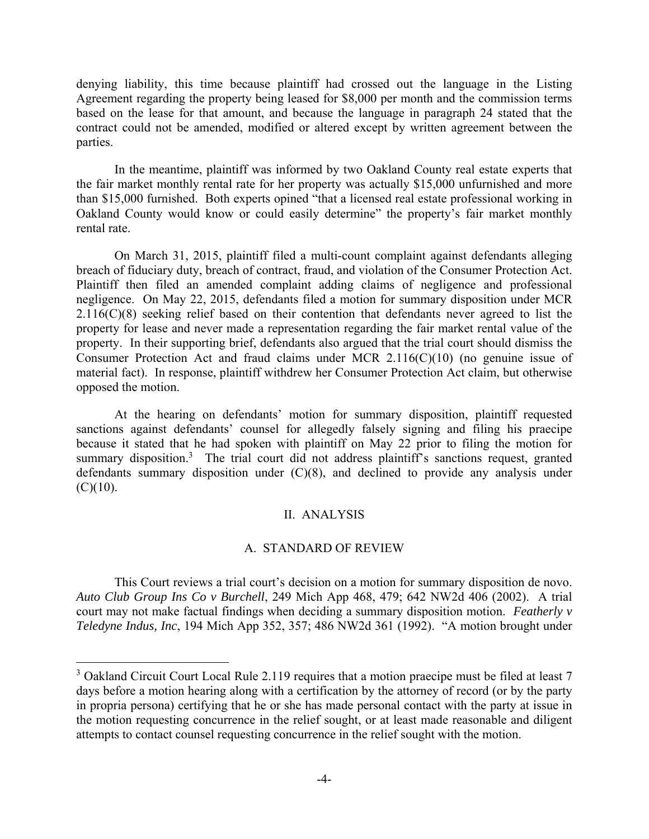denying liability, this time because plaintiff had crossed out the language in the Listing Agreement regarding the property being leased for \$8,000 per month and the commission terms based on the lease for that amount, and because the language in paragraph 24 stated that the contract could not be amended, modified or altered except by written agreement between the parties.

 In the meantime, plaintiff was informed by two Oakland County real estate experts that the fair market monthly rental rate for her property was actually \$15,000 unfurnished and more than \$15,000 furnished. Both experts opined "that a licensed real estate professional working in Oakland County would know or could easily determine" the property's fair market monthly rental rate.

 On March 31, 2015, plaintiff filed a multi-count complaint against defendants alleging breach of fiduciary duty, breach of contract, fraud, and violation of the Consumer Protection Act. Plaintiff then filed an amended complaint adding claims of negligence and professional negligence. On May 22, 2015, defendants filed a motion for summary disposition under MCR  $2.116(C)(8)$  seeking relief based on their contention that defendants never agreed to list the property for lease and never made a representation regarding the fair market rental value of the property. In their supporting brief, defendants also argued that the trial court should dismiss the Consumer Protection Act and fraud claims under MCR 2.116(C)(10) (no genuine issue of material fact). In response, plaintiff withdrew her Consumer Protection Act claim, but otherwise opposed the motion.

 At the hearing on defendants' motion for summary disposition, plaintiff requested sanctions against defendants' counsel for allegedly falsely signing and filing his praecipe because it stated that he had spoken with plaintiff on May 22 prior to filing the motion for summary disposition.<sup>3</sup> The trial court did not address plaintiff's sanctions request, granted defendants summary disposition under (C)(8), and declined to provide any analysis under  $(C)(10)$ .

## II. ANALYSIS

## A. STANDARD OF REVIEW

 This Court reviews a trial court's decision on a motion for summary disposition de novo. *Auto Club Group Ins Co v Burchell*, 249 Mich App 468, 479; 642 NW2d 406 (2002). A trial court may not make factual findings when deciding a summary disposition motion. *Featherly v Teledyne Indus, Inc*, 194 Mich App 352, 357; 486 NW2d 361 (1992). "A motion brought under

 $\overline{a}$ 

<sup>&</sup>lt;sup>3</sup> Oakland Circuit Court Local Rule 2.119 requires that a motion praecipe must be filed at least 7 days before a motion hearing along with a certification by the attorney of record (or by the party in propria persona) certifying that he or she has made personal contact with the party at issue in the motion requesting concurrence in the relief sought, or at least made reasonable and diligent attempts to contact counsel requesting concurrence in the relief sought with the motion.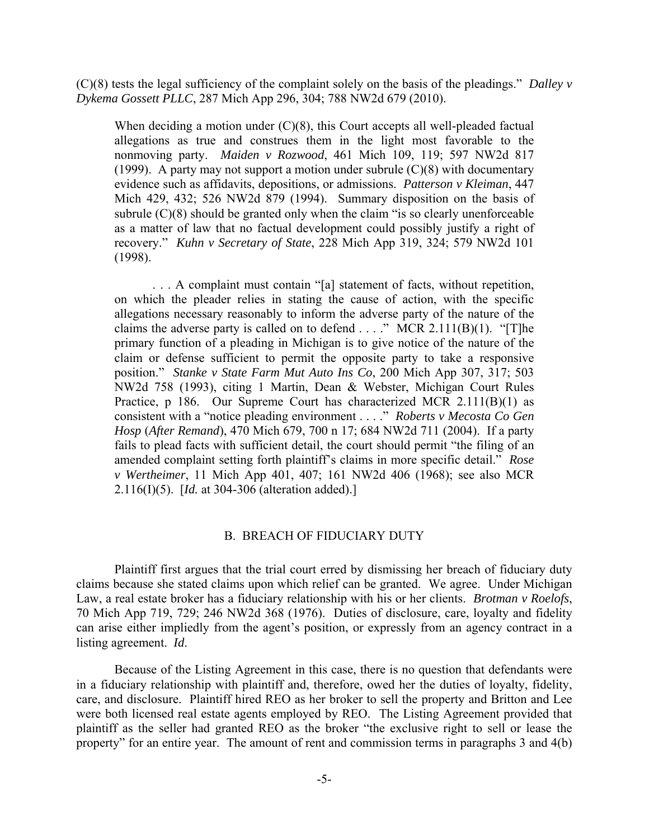(C)(8) tests the legal sufficiency of the complaint solely on the basis of the pleadings." *Dalley v Dykema Gossett PLLC*, 287 Mich App 296, 304; 788 NW2d 679 (2010).

When deciding a motion under  $(C)(8)$ , this Court accepts all well-pleaded factual allegations as true and construes them in the light most favorable to the nonmoving party. *Maiden v Rozwood*, 461 Mich 109, 119; 597 NW2d 817 (1999). A party may not support a motion under subrule  $(C)(8)$  with documentary evidence such as affidavits, depositions, or admissions. *Patterson v Kleiman*, 447 Mich 429, 432; 526 NW2d 879 (1994). Summary disposition on the basis of subrule  $(C)(8)$  should be granted only when the claim "is so clearly unenforceable as a matter of law that no factual development could possibly justify a right of recovery." *Kuhn v Secretary of State*, 228 Mich App 319, 324; 579 NW2d 101 (1998).

 . . . A complaint must contain "[a] statement of facts, without repetition, on which the pleader relies in stating the cause of action, with the specific allegations necessary reasonably to inform the adverse party of the nature of the claims the adverse party is called on to defend  $\dots$ ." MCR 2.111(B)(1). "[T]he primary function of a pleading in Michigan is to give notice of the nature of the claim or defense sufficient to permit the opposite party to take a responsive position." *Stanke v State Farm Mut Auto Ins Co*, 200 Mich App 307, 317; 503 NW2d 758 (1993), citing 1 Martin, Dean & Webster, Michigan Court Rules Practice, p 186. Our Supreme Court has characterized MCR 2.111(B)(1) as consistent with a "notice pleading environment . . . ." *Roberts v Mecosta Co Gen Hosp* (*After Remand*), 470 Mich 679, 700 n 17; 684 NW2d 711 (2004). If a party fails to plead facts with sufficient detail, the court should permit "the filing of an amended complaint setting forth plaintiff's claims in more specific detail." *Rose v Wertheimer*, 11 Mich App 401, 407; 161 NW2d 406 (1968); see also MCR 2.116(I)(5). [*Id.* at 304-306 (alteration added).]

# B. BREACH OF FIDUCIARY DUTY

 Plaintiff first argues that the trial court erred by dismissing her breach of fiduciary duty claims because she stated claims upon which relief can be granted. We agree. Under Michigan Law, a real estate broker has a fiduciary relationship with his or her clients. *Brotman v Roelofs*, 70 Mich App 719, 729; 246 NW2d 368 (1976). Duties of disclosure, care, loyalty and fidelity can arise either impliedly from the agent's position, or expressly from an agency contract in a listing agreement. *Id*.

 Because of the Listing Agreement in this case, there is no question that defendants were in a fiduciary relationship with plaintiff and, therefore, owed her the duties of loyalty, fidelity, care, and disclosure. Plaintiff hired REO as her broker to sell the property and Britton and Lee were both licensed real estate agents employed by REO. The Listing Agreement provided that plaintiff as the seller had granted REO as the broker "the exclusive right to sell or lease the property" for an entire year. The amount of rent and commission terms in paragraphs 3 and 4(b)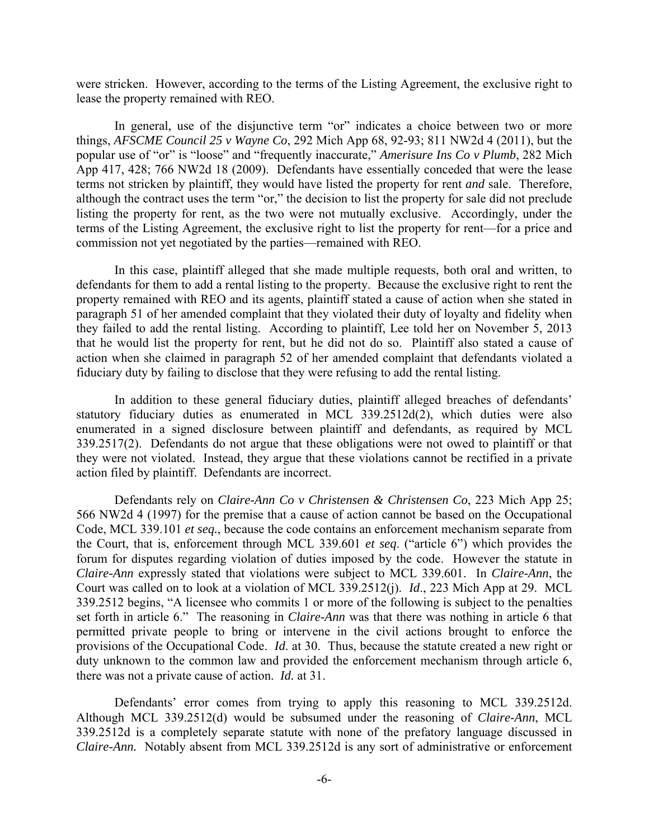were stricken. However, according to the terms of the Listing Agreement, the exclusive right to lease the property remained with REO.

 In general, use of the disjunctive term "or" indicates a choice between two or more things, *AFSCME Council 25 v Wayne Co*, 292 Mich App 68, 92-93; 811 NW2d 4 (2011), but the popular use of "or" is "loose" and "frequently inaccurate," *Amerisure Ins Co v Plumb*, 282 Mich App 417, 428; 766 NW2d 18 (2009). Defendants have essentially conceded that were the lease terms not stricken by plaintiff, they would have listed the property for rent *and* sale. Therefore, although the contract uses the term "or," the decision to list the property for sale did not preclude listing the property for rent, as the two were not mutually exclusive. Accordingly, under the terms of the Listing Agreement, the exclusive right to list the property for rent—for a price and commission not yet negotiated by the parties—remained with REO.

 In this case, plaintiff alleged that she made multiple requests, both oral and written, to defendants for them to add a rental listing to the property. Because the exclusive right to rent the property remained with REO and its agents, plaintiff stated a cause of action when she stated in paragraph 51 of her amended complaint that they violated their duty of loyalty and fidelity when they failed to add the rental listing. According to plaintiff, Lee told her on November 5, 2013 that he would list the property for rent, but he did not do so. Plaintiff also stated a cause of action when she claimed in paragraph 52 of her amended complaint that defendants violated a fiduciary duty by failing to disclose that they were refusing to add the rental listing.

 In addition to these general fiduciary duties, plaintiff alleged breaches of defendants' statutory fiduciary duties as enumerated in MCL 339.2512d(2), which duties were also enumerated in a signed disclosure between plaintiff and defendants, as required by MCL 339.2517(2). Defendants do not argue that these obligations were not owed to plaintiff or that they were not violated. Instead, they argue that these violations cannot be rectified in a private action filed by plaintiff. Defendants are incorrect.

 Defendants rely on *Claire-Ann Co v Christensen & Christensen Co*, 223 Mich App 25; 566 NW2d 4 (1997) for the premise that a cause of action cannot be based on the Occupational Code, MCL 339.101 *et seq.*, because the code contains an enforcement mechanism separate from the Court, that is, enforcement through MCL 339.601 *et seq*. ("article 6") which provides the forum for disputes regarding violation of duties imposed by the code. However the statute in *Claire-Ann* expressly stated that violations were subject to MCL 339.601. In *Claire-Ann*, the Court was called on to look at a violation of MCL 339.2512(j). *Id*., 223 Mich App at 29. MCL 339.2512 begins, "A licensee who commits 1 or more of the following is subject to the penalties set forth in article 6." The reasoning in *Claire-Ann* was that there was nothing in article 6 that permitted private people to bring or intervene in the civil actions brought to enforce the provisions of the Occupational Code. *Id*. at 30. Thus, because the statute created a new right or duty unknown to the common law and provided the enforcement mechanism through article 6, there was not a private cause of action. *Id.* at 31.

 Defendants' error comes from trying to apply this reasoning to MCL 339.2512d. Although MCL 339.2512(d) would be subsumed under the reasoning of *Claire-Ann*, MCL 339.2512d is a completely separate statute with none of the prefatory language discussed in *Claire-Ann.* Notably absent from MCL 339.2512d is any sort of administrative or enforcement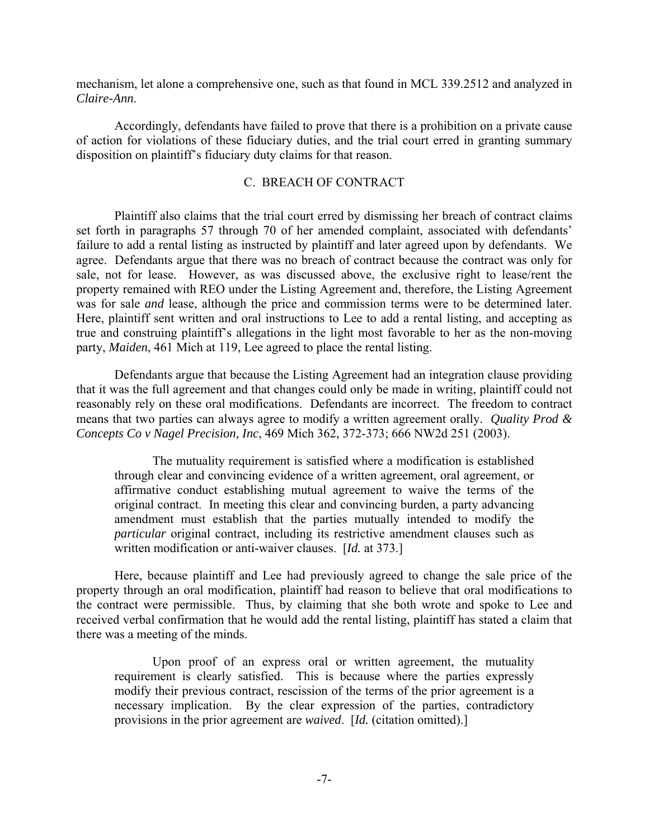mechanism, let alone a comprehensive one, such as that found in MCL 339.2512 and analyzed in *Claire-Ann*.

 Accordingly, defendants have failed to prove that there is a prohibition on a private cause of action for violations of these fiduciary duties, and the trial court erred in granting summary disposition on plaintiff's fiduciary duty claims for that reason.

### C. BREACH OF CONTRACT

 Plaintiff also claims that the trial court erred by dismissing her breach of contract claims set forth in paragraphs 57 through 70 of her amended complaint, associated with defendants' failure to add a rental listing as instructed by plaintiff and later agreed upon by defendants. We agree. Defendants argue that there was no breach of contract because the contract was only for sale, not for lease. However, as was discussed above, the exclusive right to lease/rent the property remained with REO under the Listing Agreement and, therefore, the Listing Agreement was for sale *and* lease, although the price and commission terms were to be determined later. Here, plaintiff sent written and oral instructions to Lee to add a rental listing, and accepting as true and construing plaintiff's allegations in the light most favorable to her as the non-moving party, *Maiden*, 461 Mich at 119, Lee agreed to place the rental listing.

 Defendants argue that because the Listing Agreement had an integration clause providing that it was the full agreement and that changes could only be made in writing, plaintiff could not reasonably rely on these oral modifications. Defendants are incorrect. The freedom to contract means that two parties can always agree to modify a written agreement orally. *Quality Prod & Concepts Co v Nagel Precision, Inc*, 469 Mich 362, 372-373; 666 NW2d 251 (2003).

 The mutuality requirement is satisfied where a modification is established through clear and convincing evidence of a written agreement, oral agreement, or affirmative conduct establishing mutual agreement to waive the terms of the original contract. In meeting this clear and convincing burden, a party advancing amendment must establish that the parties mutually intended to modify the *particular* original contract, including its restrictive amendment clauses such as written modification or anti-waiver clauses. [*Id.* at 373.]

 Here, because plaintiff and Lee had previously agreed to change the sale price of the property through an oral modification, plaintiff had reason to believe that oral modifications to the contract were permissible. Thus, by claiming that she both wrote and spoke to Lee and received verbal confirmation that he would add the rental listing, plaintiff has stated a claim that there was a meeting of the minds.

 Upon proof of an express oral or written agreement, the mutuality requirement is clearly satisfied. This is because where the parties expressly modify their previous contract, rescission of the terms of the prior agreement is a necessary implication. By the clear expression of the parties, contradictory provisions in the prior agreement are *waived*. [*Id.* (citation omitted).]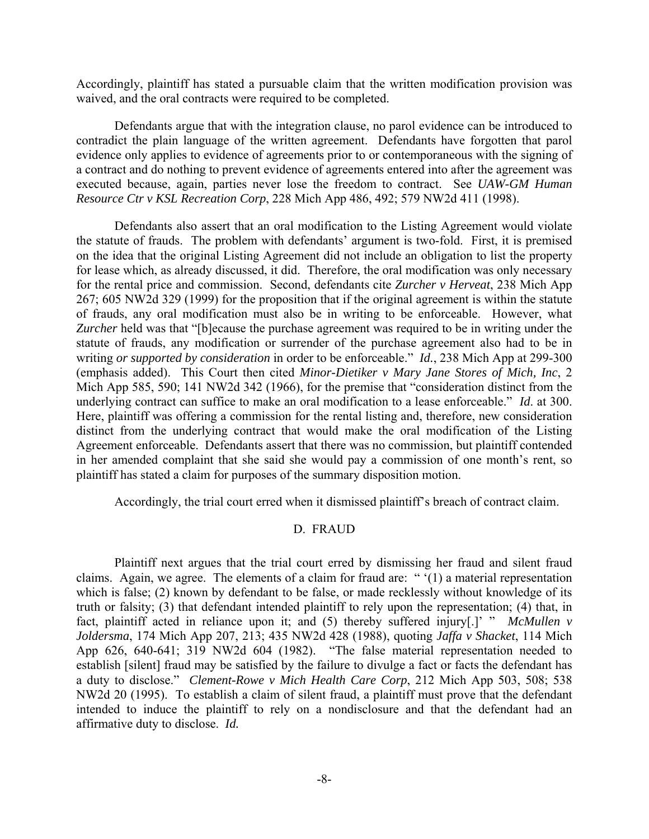Accordingly, plaintiff has stated a pursuable claim that the written modification provision was waived, and the oral contracts were required to be completed.

 Defendants argue that with the integration clause, no parol evidence can be introduced to contradict the plain language of the written agreement. Defendants have forgotten that parol evidence only applies to evidence of agreements prior to or contemporaneous with the signing of a contract and do nothing to prevent evidence of agreements entered into after the agreement was executed because, again, parties never lose the freedom to contract. See *UAW-GM Human Resource Ctr v KSL Recreation Corp*, 228 Mich App 486, 492; 579 NW2d 411 (1998).

 Defendants also assert that an oral modification to the Listing Agreement would violate the statute of frauds. The problem with defendants' argument is two-fold. First, it is premised on the idea that the original Listing Agreement did not include an obligation to list the property for lease which, as already discussed, it did. Therefore, the oral modification was only necessary for the rental price and commission. Second, defendants cite *Zurcher v Herveat*, 238 Mich App 267; 605 NW2d 329 (1999) for the proposition that if the original agreement is within the statute of frauds, any oral modification must also be in writing to be enforceable. However, what *Zurcher* held was that "[b]ecause the purchase agreement was required to be in writing under the statute of frauds, any modification or surrender of the purchase agreement also had to be in writing *or supported by consideration* in order to be enforceable." *Id.*, 238 Mich App at 299-300 (emphasis added). This Court then cited *Minor-Dietiker v Mary Jane Stores of Mich, Inc*, 2 Mich App 585, 590; 141 NW2d 342 (1966), for the premise that "consideration distinct from the underlying contract can suffice to make an oral modification to a lease enforceable." *Id*. at 300. Here, plaintiff was offering a commission for the rental listing and, therefore, new consideration distinct from the underlying contract that would make the oral modification of the Listing Agreement enforceable. Defendants assert that there was no commission, but plaintiff contended in her amended complaint that she said she would pay a commission of one month's rent, so plaintiff has stated a claim for purposes of the summary disposition motion.

Accordingly, the trial court erred when it dismissed plaintiff's breach of contract claim.

## D. FRAUD

 Plaintiff next argues that the trial court erred by dismissing her fraud and silent fraud claims. Again, we agree. The elements of a claim for fraud are: " '(1) a material representation which is false; (2) known by defendant to be false, or made recklessly without knowledge of its truth or falsity; (3) that defendant intended plaintiff to rely upon the representation; (4) that, in fact, plaintiff acted in reliance upon it; and (5) thereby suffered injury[.]' " *McMullen v Joldersma*, 174 Mich App 207, 213; 435 NW2d 428 (1988), quoting *Jaffa v Shacket*, 114 Mich App 626, 640-641; 319 NW2d 604 (1982). "The false material representation needed to establish [silent] fraud may be satisfied by the failure to divulge a fact or facts the defendant has a duty to disclose." *Clement-Rowe v Mich Health Care Corp*, 212 Mich App 503, 508; 538 NW2d 20 (1995). To establish a claim of silent fraud, a plaintiff must prove that the defendant intended to induce the plaintiff to rely on a nondisclosure and that the defendant had an affirmative duty to disclose. *Id.*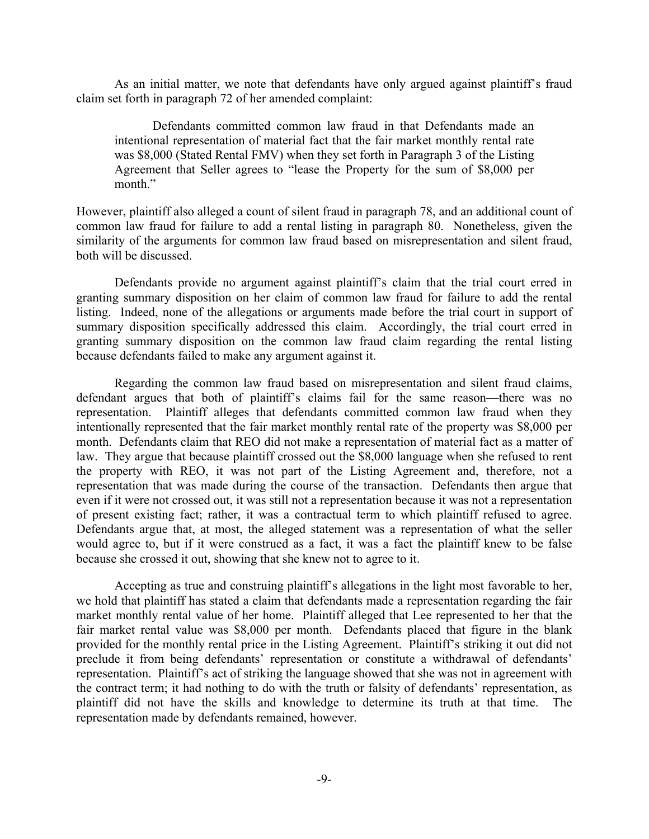As an initial matter, we note that defendants have only argued against plaintiff's fraud claim set forth in paragraph 72 of her amended complaint:

 Defendants committed common law fraud in that Defendants made an intentional representation of material fact that the fair market monthly rental rate was \$8,000 (Stated Rental FMV) when they set forth in Paragraph 3 of the Listing Agreement that Seller agrees to "lease the Property for the sum of \$8,000 per month."

However, plaintiff also alleged a count of silent fraud in paragraph 78, and an additional count of common law fraud for failure to add a rental listing in paragraph 80. Nonetheless, given the similarity of the arguments for common law fraud based on misrepresentation and silent fraud, both will be discussed.

 Defendants provide no argument against plaintiff's claim that the trial court erred in granting summary disposition on her claim of common law fraud for failure to add the rental listing. Indeed, none of the allegations or arguments made before the trial court in support of summary disposition specifically addressed this claim. Accordingly, the trial court erred in granting summary disposition on the common law fraud claim regarding the rental listing because defendants failed to make any argument against it.

 Regarding the common law fraud based on misrepresentation and silent fraud claims, defendant argues that both of plaintiff's claims fail for the same reason—there was no representation. Plaintiff alleges that defendants committed common law fraud when they intentionally represented that the fair market monthly rental rate of the property was \$8,000 per month. Defendants claim that REO did not make a representation of material fact as a matter of law. They argue that because plaintiff crossed out the \$8,000 language when she refused to rent the property with REO, it was not part of the Listing Agreement and, therefore, not a representation that was made during the course of the transaction. Defendants then argue that even if it were not crossed out, it was still not a representation because it was not a representation of present existing fact; rather, it was a contractual term to which plaintiff refused to agree. Defendants argue that, at most, the alleged statement was a representation of what the seller would agree to, but if it were construed as a fact, it was a fact the plaintiff knew to be false because she crossed it out, showing that she knew not to agree to it.

 Accepting as true and construing plaintiff's allegations in the light most favorable to her, we hold that plaintiff has stated a claim that defendants made a representation regarding the fair market monthly rental value of her home. Plaintiff alleged that Lee represented to her that the fair market rental value was \$8,000 per month. Defendants placed that figure in the blank provided for the monthly rental price in the Listing Agreement. Plaintiff's striking it out did not preclude it from being defendants' representation or constitute a withdrawal of defendants' representation. Plaintiff's act of striking the language showed that she was not in agreement with the contract term; it had nothing to do with the truth or falsity of defendants' representation, as plaintiff did not have the skills and knowledge to determine its truth at that time. The representation made by defendants remained, however.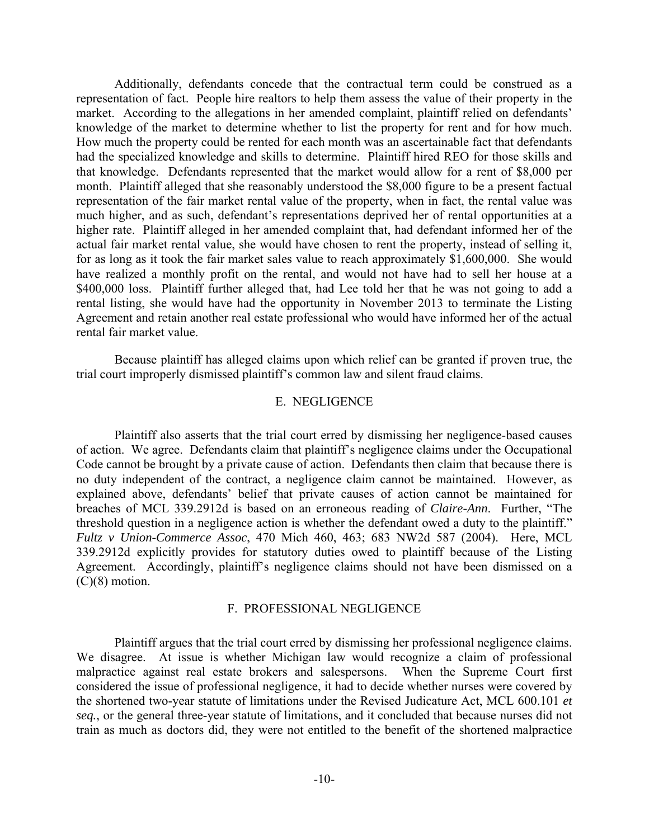Additionally, defendants concede that the contractual term could be construed as a representation of fact. People hire realtors to help them assess the value of their property in the market. According to the allegations in her amended complaint, plaintiff relied on defendants' knowledge of the market to determine whether to list the property for rent and for how much. How much the property could be rented for each month was an ascertainable fact that defendants had the specialized knowledge and skills to determine. Plaintiff hired REO for those skills and that knowledge. Defendants represented that the market would allow for a rent of \$8,000 per month. Plaintiff alleged that she reasonably understood the \$8,000 figure to be a present factual representation of the fair market rental value of the property, when in fact, the rental value was much higher, and as such, defendant's representations deprived her of rental opportunities at a higher rate. Plaintiff alleged in her amended complaint that, had defendant informed her of the actual fair market rental value, she would have chosen to rent the property, instead of selling it, for as long as it took the fair market sales value to reach approximately \$1,600,000. She would have realized a monthly profit on the rental, and would not have had to sell her house at a \$400,000 loss. Plaintiff further alleged that, had Lee told her that he was not going to add a rental listing, she would have had the opportunity in November 2013 to terminate the Listing Agreement and retain another real estate professional who would have informed her of the actual rental fair market value.

 Because plaintiff has alleged claims upon which relief can be granted if proven true, the trial court improperly dismissed plaintiff's common law and silent fraud claims.

## E. NEGLIGENCE

 Plaintiff also asserts that the trial court erred by dismissing her negligence-based causes of action. We agree. Defendants claim that plaintiff's negligence claims under the Occupational Code cannot be brought by a private cause of action. Defendants then claim that because there is no duty independent of the contract, a negligence claim cannot be maintained. However, as explained above, defendants' belief that private causes of action cannot be maintained for breaches of MCL 339.2912d is based on an erroneous reading of *Claire-Ann*. Further, "The threshold question in a negligence action is whether the defendant owed a duty to the plaintiff." *Fultz v Union-Commerce Assoc*, 470 Mich 460, 463; 683 NW2d 587 (2004). Here, MCL 339.2912d explicitly provides for statutory duties owed to plaintiff because of the Listing Agreement. Accordingly, plaintiff's negligence claims should not have been dismissed on a  $(C)(8)$  motion.

#### F. PROFESSIONAL NEGLIGENCE

 Plaintiff argues that the trial court erred by dismissing her professional negligence claims. We disagree. At issue is whether Michigan law would recognize a claim of professional malpractice against real estate brokers and salespersons. When the Supreme Court first considered the issue of professional negligence, it had to decide whether nurses were covered by the shortened two-year statute of limitations under the Revised Judicature Act, MCL 600.101 *et seq.*, or the general three-year statute of limitations, and it concluded that because nurses did not train as much as doctors did, they were not entitled to the benefit of the shortened malpractice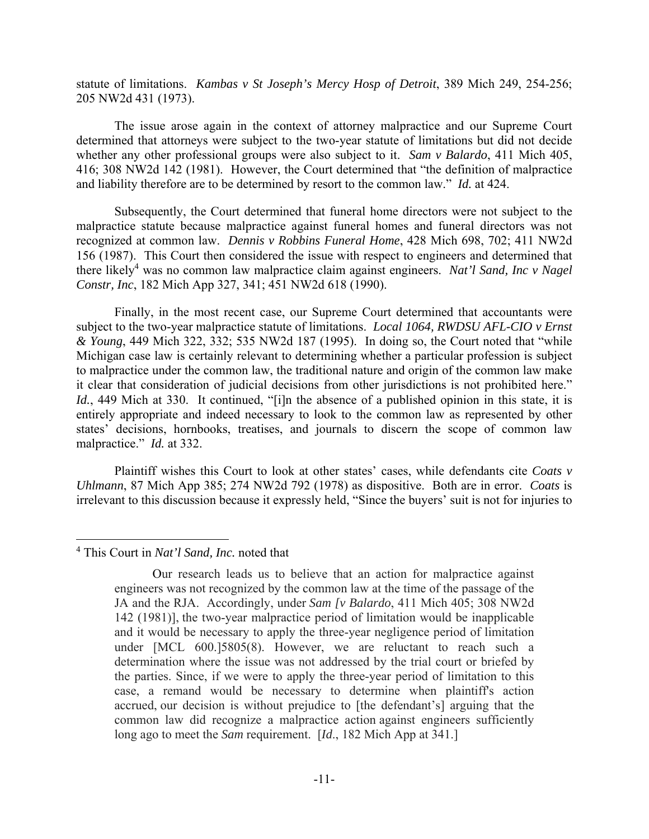statute of limitations. *Kambas v St Joseph's Mercy Hosp of Detroit*, 389 Mich 249, 254-256; 205 NW2d 431 (1973).

 The issue arose again in the context of attorney malpractice and our Supreme Court determined that attorneys were subject to the two-year statute of limitations but did not decide whether any other professional groups were also subject to it. *Sam v Balardo*, 411 Mich 405, 416; 308 NW2d 142 (1981). However, the Court determined that "the definition of malpractice and liability therefore are to be determined by resort to the common law." *Id.* at 424.

 Subsequently, the Court determined that funeral home directors were not subject to the malpractice statute because malpractice against funeral homes and funeral directors was not recognized at common law. *Dennis v Robbins Funeral Home*, 428 Mich 698, 702; 411 NW2d 156 (1987). This Court then considered the issue with respect to engineers and determined that there likely<sup>4</sup> was no common law malpractice claim against engineers. *Nat'l Sand, Inc v Nagel Constr, Inc*, 182 Mich App 327, 341; 451 NW2d 618 (1990).

 Finally, in the most recent case, our Supreme Court determined that accountants were subject to the two-year malpractice statute of limitations. *Local 1064, RWDSU AFL-CIO v Ernst & Young*, 449 Mich 322, 332; 535 NW2d 187 (1995). In doing so, the Court noted that "while Michigan case law is certainly relevant to determining whether a particular profession is subject to malpractice under the common law, the traditional nature and origin of the common law make it clear that consideration of judicial decisions from other jurisdictions is not prohibited here." Id., 449 Mich at 330. It continued, "[i]n the absence of a published opinion in this state, it is entirely appropriate and indeed necessary to look to the common law as represented by other states' decisions, hornbooks, treatises, and journals to discern the scope of common law malpractice." *Id.* at 332.

 Plaintiff wishes this Court to look at other states' cases, while defendants cite *Coats v Uhlmann*, 87 Mich App 385; 274 NW2d 792 (1978) as dispositive. Both are in error. *Coats* is irrelevant to this discussion because it expressly held, "Since the buyers' suit is not for injuries to

 $\overline{a}$ 

<sup>4</sup> This Court in *Nat'l Sand, Inc.* noted that

Our research leads us to believe that an action for malpractice against engineers was not recognized by the common law at the time of the passage of the JA and the RJA. Accordingly, under *Sam [v Balardo*, 411 Mich 405; 308 NW2d 142 (1981)], the two-year malpractice period of limitation would be inapplicable and it would be necessary to apply the three-year negligence period of limitation under [MCL 600.]5805(8). However, we are reluctant to reach such a determination where the issue was not addressed by the trial court or briefed by the parties. Since, if we were to apply the three-year period of limitation to this case, a remand would be necessary to determine when plaintiff's action accrued, our decision is without prejudice to [the defendant's] arguing that the common law did recognize a malpractice action against engineers sufficiently long ago to meet the *Sam* requirement. [*Id*., 182 Mich App at 341.]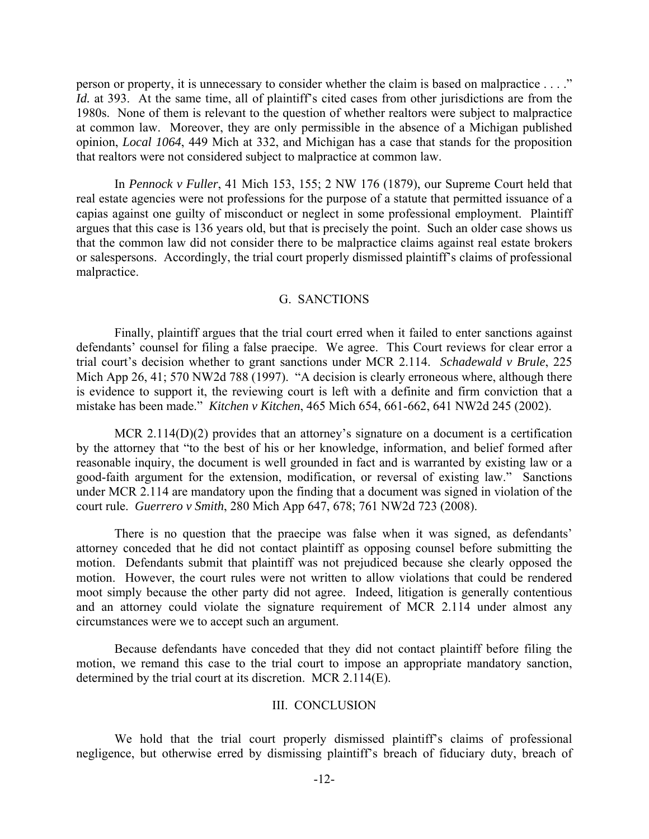person or property, it is unnecessary to consider whether the claim is based on malpractice . . . ." *Id.* at 393. At the same time, all of plaintiff's cited cases from other jurisdictions are from the 1980s. None of them is relevant to the question of whether realtors were subject to malpractice at common law. Moreover, they are only permissible in the absence of a Michigan published opinion, *Local 1064*, 449 Mich at 332, and Michigan has a case that stands for the proposition that realtors were not considered subject to malpractice at common law.

 In *Pennock v Fuller*, 41 Mich 153, 155; 2 NW 176 (1879), our Supreme Court held that real estate agencies were not professions for the purpose of a statute that permitted issuance of a capias against one guilty of misconduct or neglect in some professional employment. Plaintiff argues that this case is 136 years old, but that is precisely the point. Such an older case shows us that the common law did not consider there to be malpractice claims against real estate brokers or salespersons. Accordingly, the trial court properly dismissed plaintiff's claims of professional malpractice.

#### G. SANCTIONS

 Finally, plaintiff argues that the trial court erred when it failed to enter sanctions against defendants' counsel for filing a false praecipe. We agree. This Court reviews for clear error a trial court's decision whether to grant sanctions under MCR 2.114. *Schadewald v Brule*, 225 Mich App 26, 41; 570 NW2d 788 (1997). "A decision is clearly erroneous where, although there is evidence to support it, the reviewing court is left with a definite and firm conviction that a mistake has been made." *Kitchen v Kitchen*, 465 Mich 654, 661-662, 641 NW2d 245 (2002).

MCR 2.114( $D$ )(2) provides that an attorney's signature on a document is a certification by the attorney that "to the best of his or her knowledge, information, and belief formed after reasonable inquiry, the document is well grounded in fact and is warranted by existing law or a good-faith argument for the extension, modification, or reversal of existing law." Sanctions under MCR 2.114 are mandatory upon the finding that a document was signed in violation of the court rule. *Guerrero v Smith*, 280 Mich App 647, 678; 761 NW2d 723 (2008).

 There is no question that the praecipe was false when it was signed, as defendants' attorney conceded that he did not contact plaintiff as opposing counsel before submitting the motion. Defendants submit that plaintiff was not prejudiced because she clearly opposed the motion. However, the court rules were not written to allow violations that could be rendered moot simply because the other party did not agree. Indeed, litigation is generally contentious and an attorney could violate the signature requirement of MCR 2.114 under almost any circumstances were we to accept such an argument.

 Because defendants have conceded that they did not contact plaintiff before filing the motion, we remand this case to the trial court to impose an appropriate mandatory sanction, determined by the trial court at its discretion. MCR 2.114(E).

#### III. CONCLUSION

 We hold that the trial court properly dismissed plaintiff's claims of professional negligence, but otherwise erred by dismissing plaintiff's breach of fiduciary duty, breach of